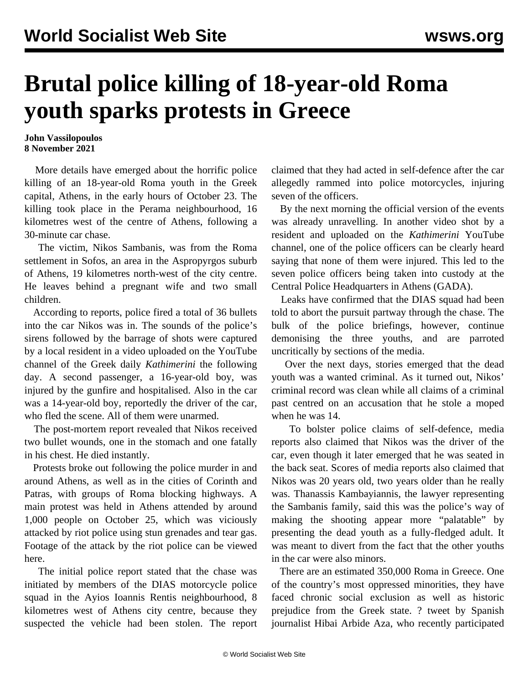## **Brutal police killing of 18-year-old Roma youth sparks protests in Greece**

## **John Vassilopoulos 8 November 2021**

 More details have emerged about the horrific police killing of an 18-year-old Roma youth in the Greek capital, Athens, in the early hours of October 23. The killing took place in the Perama neighbourhood, 16 kilometres west of the centre of Athens, following a 30-minute car chase.

 The victim, Nikos Sambanis, was from the Roma settlement in Sofos, an area in the Aspropyrgos suburb of Athens, 19 kilometres north-west of the city centre. He leaves behind a pregnant wife and two small children.

 According to reports, police fired a total of 36 bullets into the car Nikos was in. The sounds of the police's sirens followed by the barrage of shots were captured by a local resident in a [video](https://www.youtube.com/watch?v=PVZsffYFTWU&t=32s) uploaded on the YouTube channel of the Greek daily *Kathimerini* the following day. A second passenger, a 16-year-old boy, was injured by the gunfire and hospitalised. Also in the car was a 14-year-old boy, reportedly the driver of the car, who fled the scene. All of them were unarmed.

 The post-mortem report revealed that Nikos received two bullet wounds, one in the stomach and one fatally in his chest. He died instantly.

 Protests broke out following the police murder in and around Athens, as well as in the cities of Corinth and Patras, with groups of Roma blocking highways. A main protest was held in Athens attended by around 1,000 people on October 25, which was viciously attacked by riot police using stun grenades and tear gas. Footage of the attack by the riot police can be viewed [here.](https://www.instagram.com/tv/CVdZedLlJZZ/?utm_medium=copy_link)

 The initial police report stated that the chase was initiated by members of the DIAS motorcycle police squad in the Ayios Ioannis Rentis neighbourhood, 8 kilometres west of Athens city centre, because they suspected the vehicle had been stolen. The report claimed that they had acted in self-defence after the car allegedly rammed into police motorcycles, injuring seven of the officers.

 By the next morning the official version of the events was already unravelling. In another video shot by a resident and uploaded on the *Kathimerini* YouTube channel, one of the police officers can be clearly heard saying that none of them were injured. This led to the seven police officers being taken into custody at the Central Police Headquarters in Athens (GADA).

 Leaks have confirmed that the DIAS squad had been told to abort the pursuit partway through the chase. The bulk of the police briefings, however, continue demonising the three youths, and are parroted uncritically by sections of the media.

 Over the next days, stories emerged that the dead youth was a wanted criminal. As it turned out, Nikos' criminal record was clean while all claims of a criminal past centred on an accusation that he stole a moped when he was 14.

 To bolster police claims of self-defence, media reports also claimed that Nikos was the driver of the car, even though it later emerged that he was seated in the back seat. Scores of media reports also claimed that Nikos was 20 years old, two years older than he really was. Thanassis Kambayiannis, the lawyer representing the Sambanis family, said this was the police's way of making the shooting appear more "palatable" by presenting the dead youth as a fully-fledged adult. It was meant to divert from the fact that the other youths in the car were also minors.

 There are an estimated 350,000 Roma in Greece. One of the country's most oppressed minorities, they have faced chronic social exclusion as well as historic prejudice from the Greek state. ? tweet by Spanish journalist Hibai Arbide Aza, who recently participated